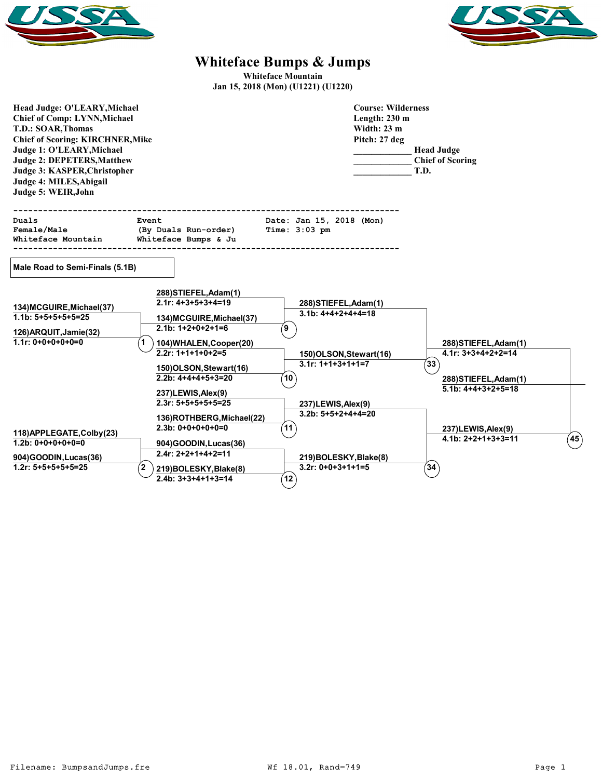



## **Whiteface Bumps & Jumps**

**Whiteface Mountain Jan 15, 2018 (Mon) (U1221) (U1220)**

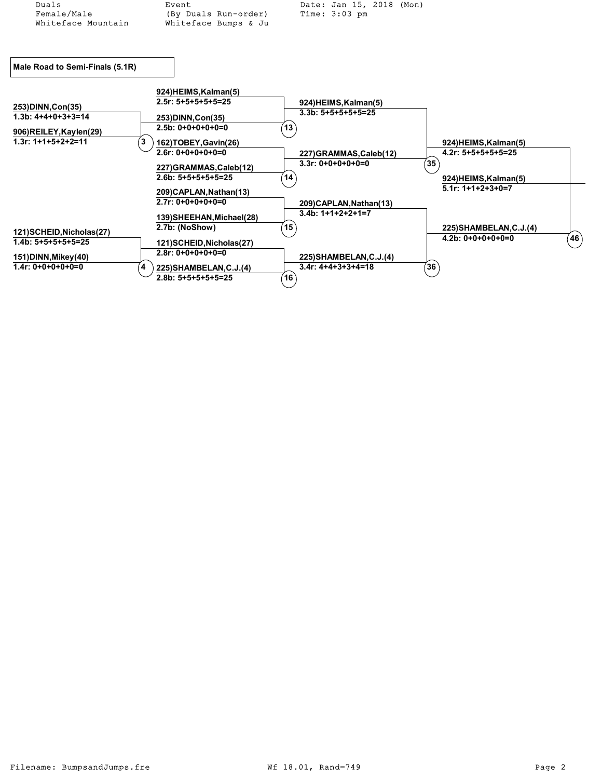| Duals                                              | Event                      | Date: Jan 15, 2018 (Mon) |                         |      |
|----------------------------------------------------|----------------------------|--------------------------|-------------------------|------|
| Female/Male                                        | (By Duals Run-order)       | Time: $3:03$ pm          |                         |      |
| Whiteface Mountain                                 | Whiteface Bumps & Ju       |                          |                         |      |
|                                                    |                            |                          |                         |      |
|                                                    |                            |                          |                         |      |
| Male Road to Semi-Finals (5.1R)                    |                            |                          |                         |      |
|                                                    | 924) HEIMS, Kalman(5)      |                          |                         |      |
| 253) DINN, Con(35)                                 | $2.5r: 5+5+5+5+5=25$       | 924)HEIMS, Kalman(5)     |                         |      |
| $1.3b: 4+4+0+3+3=14$                               | 253) DINN, Con(35)         | $3.3b: 5+5+5+5+5=25$     |                         |      |
|                                                    | $2.5b: 0+0+0+0+0=0$        | 13 <sup>7</sup>          |                         |      |
| 906)REILEY, Kaylen(29)                             |                            |                          |                         |      |
| $1.3r: 1+1+5+2+2=11$<br>3                          | 162)TOBEY, Gavin(26)       |                          | 924)HEIMS, Kalman(5)    |      |
|                                                    | $2.6r: 0+0+0+0+0=0$        | 227)GRAMMAS,Caleb(12)    | $4.2r: 5+5+5+5+5=25$    |      |
|                                                    | 227)GRAMMAS, Caleb(12)     | $3.3r: 0+0+0+0+0=0$      | $^{\prime}35$           |      |
|                                                    | $2.6b: 5+5+5+5+5=25$       | 14                       | 924)HEIMS, Kalman(5)    |      |
|                                                    |                            |                          | $5.1r: 1+1+2+3+0=7$     |      |
|                                                    | 209)CAPLAN, Nathan(13)     |                          |                         |      |
|                                                    | $2.7r: 0+0+0+0+0=0$        | 209)CAPLAN, Nathan(13)   |                         |      |
|                                                    | 139) SHEEHAN, Michael (28) | $3.4b: 1+1+2+2+1=7$      |                         |      |
|                                                    | 2.7b: (NoShow)             | 15                       | 225) SHAMBELAN, C.J.(4) |      |
| 121) SCHEID, Nicholas (27)<br>$1.4b: 5+5+5+5+5=25$ |                            |                          | $4.2b: 0+0+0+0+0=0$     | (46) |
|                                                    | 121) SCHEID, Nicholas (27) |                          |                         |      |
| 151) DINN, Mikey (40)                              | $2.8r: 0+0+0+0+0=0$        | 225) SHAMBELAN, C.J. (4) |                         |      |
| $1.4r: 0+0+0+0+0=0$<br>4                           | 225) SHAMBELAN, C.J.(4)    | $3.4r: 4+4+3+3+4=18$     | 36                      |      |
|                                                    | $2.8b: 5+5+5+5+5=25$       | 16                       |                         |      |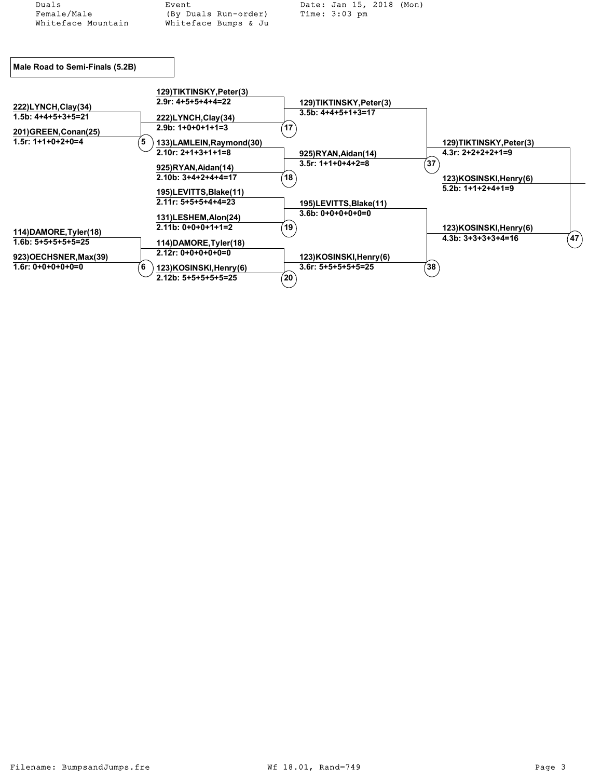| Duals                                             | Event                                             | Date: Jan 15, 2018 (Mon) |                         |              |
|---------------------------------------------------|---------------------------------------------------|--------------------------|-------------------------|--------------|
| Female/Male                                       | (By Duals Run-order)                              | Time: $3:03$ pm          |                         |              |
| Whiteface Mountain                                | Whiteface Bumps & Ju                              |                          |                         |              |
|                                                   |                                                   |                          |                         |              |
|                                                   |                                                   |                          |                         |              |
| Male Road to Semi-Finals (5.2B)                   |                                                   |                          |                         |              |
|                                                   | 129)TIKTINSKY, Peter(3)                           |                          |                         |              |
| 222)LYNCH,Clay(34)                                | $2.9r: 4+5+5+4+4=22$                              | 129)TIKTINSKY, Peter(3)  |                         |              |
| $1.5b: 4+4+5+3+5=21$                              | 222)LYNCH, Clay (34)                              | $3.5b: 4+4+5+1+3=17$     |                         |              |
| 201) GREEN, Conan(25)                             | $2.9b: 1+0+0+1+1=3$                               | 17                       |                         |              |
| $1.5r: 1+1+0+2+0=4$<br>5                          | 133)LAMLEIN, Raymond(30)                          |                          | 129)TIKTINSKY, Peter(3) |              |
|                                                   | $2.10r: 2+1+3+1+1=8$                              | 925)RYAN, Aidan(14)      | $4.3r: 2+2+2+2+1=9$     |              |
|                                                   | 925)RYAN, Aidan(14)                               | $3.5r: 1+1+0+4+2=8$      | 37                      |              |
|                                                   | $2.10b: 3+4+2+4+4=17$                             | 18                       | 123)KOSINSKI, Henry (6) |              |
|                                                   | 195)LEVITTS, Blake(11)                            |                          | $5.2b: 1+1+2+4+1=9$     |              |
|                                                   | $2.11r: 5+5+5+4+4=23$                             | 195)LEVITTS, Blake(11)   |                         |              |
|                                                   | 131)LESHEM, Alon(24)                              | $3.6b: 0+0+0+0+0=0$      |                         |              |
|                                                   | $2.11b: 0+0+0+1+1=2$                              | 19 <sup>°</sup>          | 123)KOSINSKI, Henry (6) |              |
| $1.6b: 5+5+5+5+5=25$                              |                                                   |                          | $4.3b: 3+3+3+3+4=16$    |              |
|                                                   | $2.12r: 0+0+0+0+0=0$                              |                          |                         |              |
| $1.6r: 0+0+0+0+0=0$<br>6                          |                                                   | $3.6r: 5+5+5+5+5=25$     | 38 <sup>°</sup>         |              |
|                                                   | $2.12b: 5+5+5+5+5=25$                             | $20^{\circ}$             |                         |              |
| 114) DAMORE, Tyler(18)<br>923) OECHSNER, Max (39) | 114) DAMORE, Tyler(18)<br>123)KOSINSKI, Henry (6) | 123)KOSINSKI, Henry (6)  |                         | $47^{\circ}$ |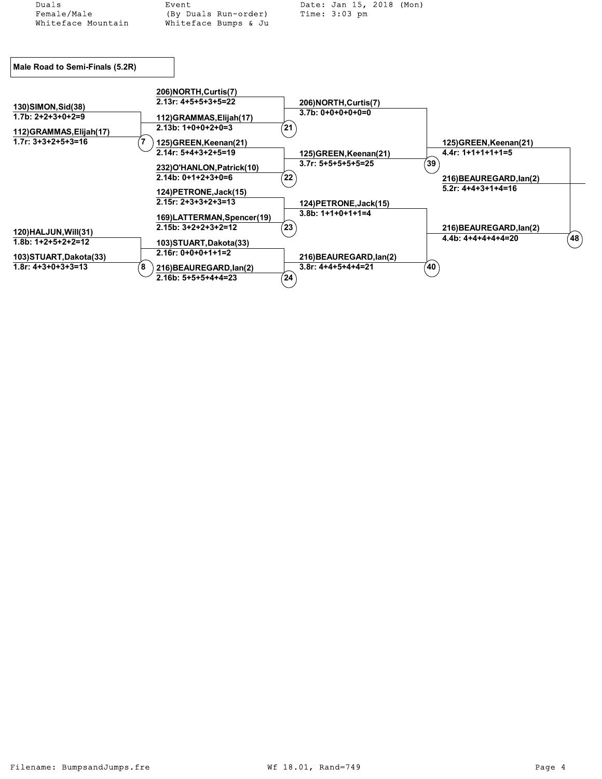| Duals                           | Event                                               | Date: Jan 15, 2018 (Mon)   |                 |                                               |           |
|---------------------------------|-----------------------------------------------------|----------------------------|-----------------|-----------------------------------------------|-----------|
| Female/Male                     | (By Duals Run-order)                                | Time: $3:03$ pm            |                 |                                               |           |
| Whiteface Mountain              | Whiteface Bumps & Ju                                |                            |                 |                                               |           |
|                                 |                                                     |                            |                 |                                               |           |
| Male Road to Semi-Finals (5.2R) |                                                     |                            |                 |                                               |           |
|                                 | 206) NORTH, Curtis(7)                               |                            |                 |                                               |           |
| 130) SIMON, Sid(38)             | $2.13r: 4+5+5+3+5=22$                               | 206) NORTH, Curtis(7)      |                 |                                               |           |
| $1.7b: 2+2+3+0+2=9$             | 112) GRAMMAS, Elijah (17)                           | $3.7b: 0+0+0+0+0=0$        |                 |                                               |           |
| 112) GRAMMAS, Elijah (17)       | $2.13b: 1+0+0+2+0=3$                                | $^{\prime}$ 21 $^{\prime}$ |                 |                                               |           |
| $1.7r: 3+3+2+5+3=16$            | 125)GREEN, Keenan(21)                               |                            |                 | 125)GREEN, Keenan(21)                         |           |
|                                 | $2.14r: 5+4+3+2+5=19$                               | 125) GREEN, Keenan(21)     |                 | $4.4r: 1+1+1+1+1=5$                           |           |
|                                 | 232) O'HANLON, Patrick (10)                         | $3.7r: 5+5+5+5+5=25$       | ັ39ີ            |                                               |           |
|                                 | $2.14b: 0+1+2+3+0=6$                                | 22                         |                 | 216) BEAUREGARD, lan(2)                       |           |
|                                 | 124) PETRONE, Jack (15)                             |                            |                 | $5.2r: 4+4+3+1+4=16$                          |           |
|                                 | $2.15r: 2+3+3+2+3=13$                               | 124) PETRONE, Jack (15)    |                 |                                               |           |
|                                 |                                                     | $3.8b: 1+1+0+1+1=4$        |                 |                                               |           |
|                                 | 169)LATTERMAN, Spencer(19)<br>$2.15b: 3+2+2+3+2=12$ | $^{'}23$                   |                 |                                               |           |
| 120) HALJUN, Will(31)           |                                                     |                            |                 | 216) BEAUREGARD, lan(2)<br>$4.4b: 4+4+4+4=20$ |           |
| $1.8b: 1+2+5+2+2=12$            | 103) STUART, Dakota(33)                             |                            |                 |                                               | $^{'}48)$ |
| 103) STUART, Dakota(33)         | $2.16r: 0+0+0+1+1=2$                                | 216) BEAUREGARD, lan(2)    |                 |                                               |           |
| $1.8r: 4+3+0+3+3=13$<br>8       | 216) BEAUREGARD, lan(2)                             | $3.8r: 4+4+5+4+4=21$       | 40 <sup>°</sup> |                                               |           |
|                                 | $2.16b: 5+5+5+4+4=23$                               | $^{'}24)$                  |                 |                                               |           |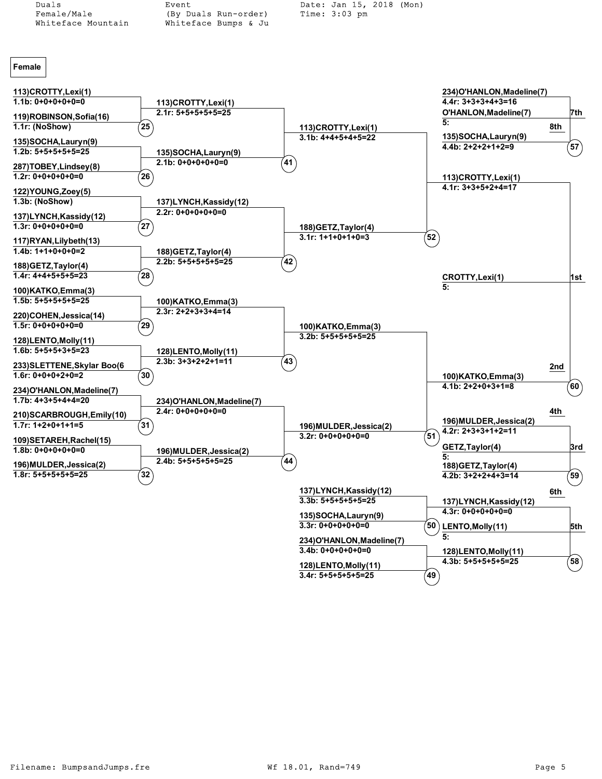